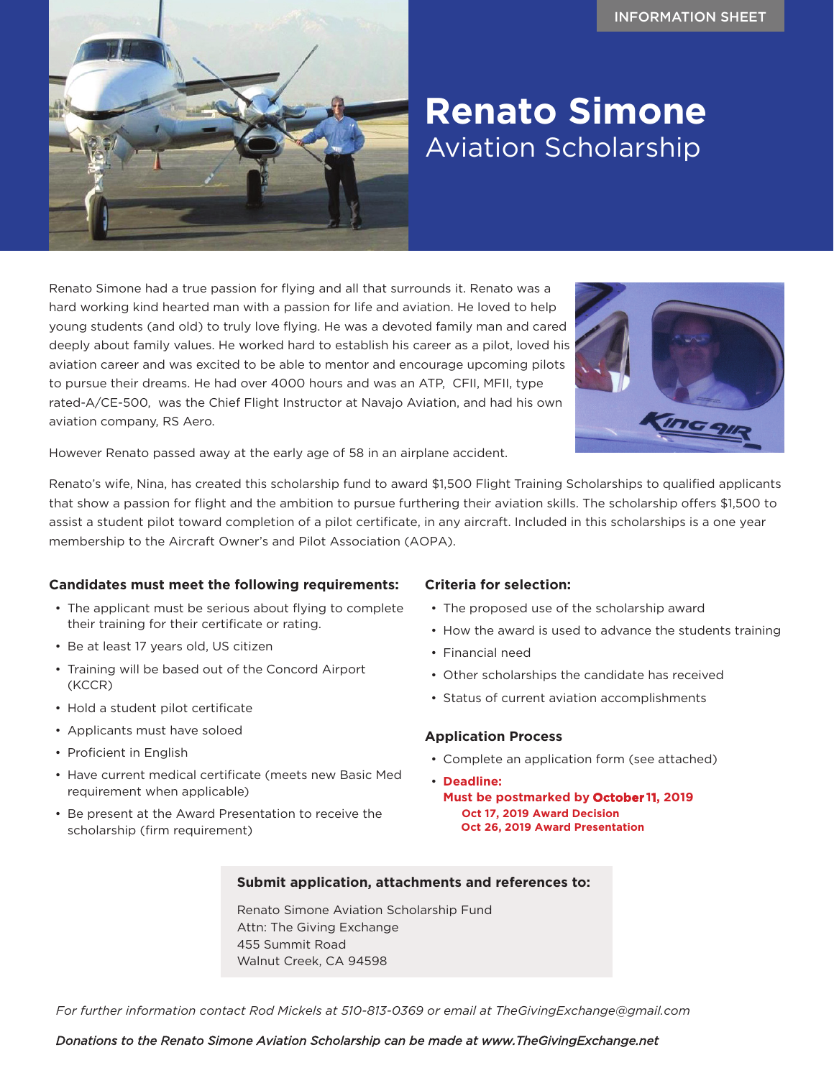

# **Renato Simone** Aviation Scholarship

Renato Simone had a true passion for flying and all that surrounds it. Renato was a hard working kind hearted man with a passion for life and aviation. He loved to help young students (and old) to truly love flying. He was a devoted family man and cared deeply about family values. He worked hard to establish his career as a pilot, loved his aviation career and was excited to be able to mentor and encourage upcoming pilots to pursue their dreams. He had over 4000 hours and was an ATP, CFII, MFII, type rated-A/CE-500, was the Chief Flight Instructor at Navajo Aviation, and had his own aviation company, RS Aero.



However Renato passed away at the early age of 58 in an airplane accident.

Renato's wife, Nina, has created this scholarship fund to award \$1,500 Flight Training Scholarships to qualified applicants that show a passion for flight and the ambition to pursue furthering their aviation skills. The scholarship offers \$1,500 to assist a student pilot toward completion of a pilot certificate, in any aircraft. Included in this scholarships is a one year membership to the Aircraft Owner's and Pilot Association (AOPA).

# **Candidates must meet the following requirements:**

- The applicant must be serious about flying to complete their training for their certificate or rating.
- Be at least 17 years old, US citizen
- Training will be based out of the Concord Airport (KCCR)
- Hold a student pilot certificate
- Applicants must have soloed
- Proficient in English
- Have current medical certificate (meets new Basic Med requirement when applicable)
- Be present at the Award Presentation to receive the scholarship (firm requirement)

#### **Criteria for selection:**

- The proposed use of the scholarship award
- How the award is used to advance the students training
- Financial need
- Other scholarships the candidate has received
- Status of current aviation accomplishments

# **Application Process**

- Complete an application form (see attached)
- **Deadline: Must be postmarked by October 11, 2019 Oct 17, 2019 Award Decision Oct 26, 2019 Award Presentation**

# **Submit application, attachments and references to:**

Renato Simone Aviation Scholarship Fund Attn: The Giving Exchange 455 Summit Road Walnut Creek, CA 94598

*For further information contact Rod Mickels at 510-813-0369 or email at TheGivingExchange@gmail.com*

#### *Donations to the Renato Simone Aviation Scholarship can be made at www.TheGivingExchange.net*